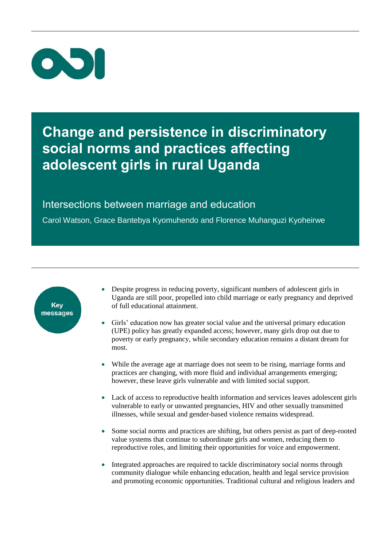

### **Change and persistence in discriminatory social norms and practices affecting adolescent girls in rural Uganda**

### Intersections between marriage and education

Carol Watson, Grace Bantebya Kyomuhendo and Florence Muhanguzi Kyoheirwe



- Despite progress in reducing poverty, significant numbers of adolescent girls in Uganda are still poor, propelled into child marriage or early pregnancy and deprived of full educational attainment.
- Girls' education now has greater social value and the universal primary education (UPE) policy has greatly expanded access; however, many girls drop out due to poverty or early pregnancy, while secondary education remains a distant dream for most.
- While the average age at marriage does not seem to be rising, marriage forms and practices are changing, with more fluid and individual arrangements emerging; however, these leave girls vulnerable and with limited social support.
- Lack of access to reproductive health information and services leaves adolescent girls vulnerable to early or unwanted pregnancies, HIV and other sexually transmitted illnesses, while sexual and gender-based violence remains widespread.
- Some social norms and practices are shifting, but others persist as part of deep-rooted value systems that continue to subordinate girls and women, reducing them to reproductive roles, and limiting their opportunities for voice and empowerment.
- Integrated approaches are required to tackle discriminatory social norms through community dialogue while enhancing education, health and legal service provision and promoting economic opportunities. Traditional cultural and religious leaders and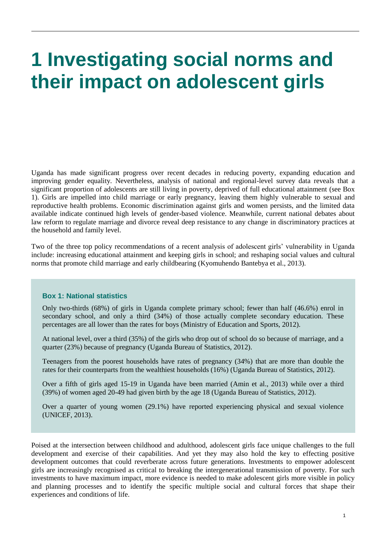## **1 Investigating social norms and their impact on adolescent girls**

Uganda has made significant progress over recent decades in reducing poverty, expanding education and improving gender equality. Nevertheless, analysis of national and regional-level survey data reveals that a significant proportion of adolescents are still living in poverty, deprived of full educational attainment (see Box 1). Girls are impelled into child marriage or early pregnancy, leaving them highly vulnerable to sexual and reproductive health problems. Economic discrimination against girls and women persists, and the limited data available indicate continued high levels of gender-based violence. Meanwhile, current national debates about law reform to regulate marriage and divorce reveal deep resistance to any change in discriminatory practices at the household and family level.

Two of the three top policy recommendations of a recent analysis of adolescent girls' vulnerability in Uganda include: increasing educational attainment and keeping girls in school; and reshaping social values and cultural norms that promote child marriage and early childbearing (Kyomuhendo Bantebya et al., 2013).

### **Box 1: National statistics**

Only two-thirds (68%) of girls in Uganda complete primary school; fewer than half (46.6%) enrol in secondary school, and only a third (34%) of those actually complete secondary education. These percentages are all lower than the rates for boys (Ministry of Education and Sports, 2012).

At national level, over a third (35%) of the girls who drop out of school do so because of marriage, and a quarter (23%) because of pregnancy (Uganda Bureau of Statistics, 2012).

Teenagers from the poorest households have rates of pregnancy (34%) that are more than double the rates for their counterparts from the wealthiest households (16%) (Uganda Bureau of Statistics, 2012).

Over a fifth of girls aged 15-19 in Uganda have been married (Amin et al., 2013) while over a third (39%) of women aged 20-49 had given birth by the age 18 (Uganda Bureau of Statistics, 2012).

Over a quarter of young women (29.1%) have reported experiencing physical and sexual violence (UNICEF, 2013).

Poised at the intersection between childhood and adulthood, adolescent girls face unique challenges to the full development and exercise of their capabilities. And yet they may also hold the key to effecting positive development outcomes that could reverberate across future generations. Investments to empower adolescent girls are increasingly recognised as critical to breaking the intergenerational transmission of poverty. For such investments to have maximum impact, more evidence is needed to make adolescent girls more visible in policy and planning processes and to identify the specific multiple social and cultural forces that shape their experiences and conditions of life.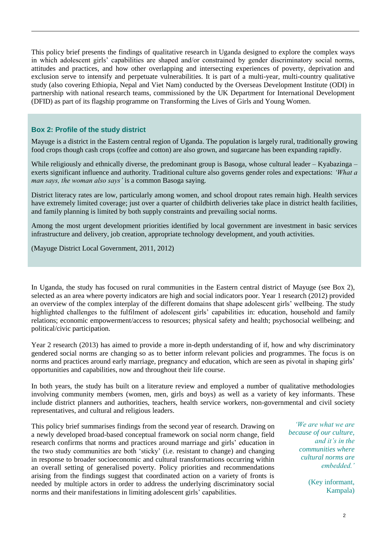This policy brief presents the findings of qualitative research in Uganda designed to explore the complex ways in which adolescent girls' capabilities are shaped and/or constrained by gender discriminatory social norms, attitudes and practices, and how other overlapping and intersecting experiences of poverty, deprivation and exclusion serve to intensify and perpetuate vulnerabilities. It is part of a multi-year, multi-country qualitative study (also covering Ethiopia, Nepal and Viet Nam) conducted by the Overseas Development Institute (ODI) in partnership with national research teams, commissioned by the UK Department for International Development (DFID) as part of its flagship programme on Transforming the Lives of Girls and Young Women.

### **Box 2: Profile of the study district**

Mayuge is a district in the Eastern central region of Uganda. The population is largely rural, traditionally growing food crops though cash crops (coffee and cotton) are also grown, and sugarcane has been expanding rapidly.

While religiously and ethnically diverse, the predominant group is Basoga, whose cultural leader – Kyabazinga – exerts significant influence and authority. Traditional culture also governs gender roles and expectations: *'What a man says, the woman also says'* is a common Basoga saying.

District literacy rates are low, particularly among women, and school dropout rates remain high. Health services have extremely limited coverage; just over a quarter of childbirth deliveries take place in district health facilities, and family planning is limited by both supply constraints and prevailing social norms.

Among the most urgent development priorities identified by local government are investment in basic services infrastructure and delivery, job creation, appropriate technology development, and youth activities.

(Mayuge District Local Government, 2011, 2012)

In Uganda, the study has focused on rural communities in the Eastern central district of Mayuge (see Box 2), selected as an area where poverty indicators are high and social indicators poor. Year 1 research (2012) provided an overview of the complex interplay of the different domains that shape adolescent girls' wellbeing. The study highlighted challenges to the fulfilment of adolescent girls' capabilities in: education, household and family relations; economic empowerment/access to resources; physical safety and health; psychosocial wellbeing; and political/civic participation.

Year 2 research (2013) has aimed to provide a more in-depth understanding of if, how and why discriminatory gendered social norms are changing so as to better inform relevant policies and programmes. The focus is on norms and practices around early marriage, pregnancy and education, which are seen as pivotal in shaping girls' opportunities and capabilities, now and throughout their life course.

In both years, the study has built on a literature review and employed a number of qualitative methodologies involving community members (women, men, girls and boys) as well as a variety of key informants. These include district planners and authorities, teachers, health service workers, non-governmental and civil society representatives, and cultural and religious leaders.

This policy brief summarises findings from the second year of research. Drawing on a newly developed broad-based conceptual framework on social norm change, field research confirms that norms and practices around marriage and girls' education in the two study communities are both 'sticky' (i.e. resistant to change) and changing in response to broader socioeconomic and cultural transformations occurring within an overall setting of generalised poverty. Policy priorities and recommendations arising from the findings suggest that coordinated action on a variety of fronts is needed by multiple actors in order to address the underlying discriminatory social norms and their manifestations in limiting adolescent girls' capabilities.

*'We are what we are because of our culture, and it's in the communities where cultural norms are embedded.'* 

> (Key informant, Kampala)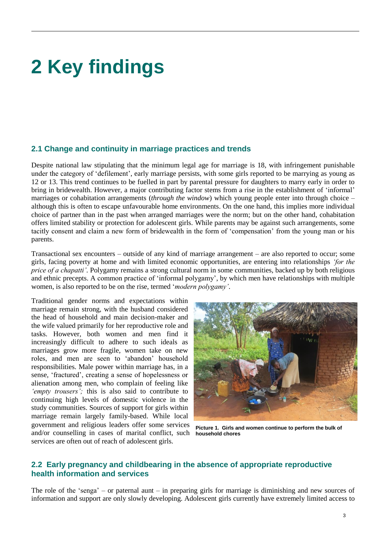# **2 Key findings**

### **2.1 Change and continuity in marriage practices and trends**

Despite national law stipulating that the minimum legal age for marriage is 18, with infringement punishable under the category of 'defilement', early marriage persists, with some girls reported to be marrying as young as 12 or 13. This trend continues to be fuelled in part by parental pressure for daughters to marry early in order to bring in bridewealth. However, a major contributing factor stems from a rise in the establishment of 'informal' marriages or cohabitation arrangements (*through the window*) which young people enter into through choice – although this is often to escape unfavourable home environments. On the one hand, this implies more individual choice of partner than in the past when arranged marriages were the norm; but on the other hand, cohabitation offers limited stability or protection for adolescent girls. While parents may be against such arrangements, some tacitly consent and claim a new form of bridewealth in the form of 'compensation' from the young man or his parents.

Transactional sex encounters – outside of any kind of marriage arrangement – are also reported to occur; some girls, facing poverty at home and with limited economic opportunities, are entering into relationships *'for the price of a chapatti'.* Polygamy remains a strong cultural norm in some communities, backed up by both religious and ethnic precepts. A common practice of 'informal polygamy', by which men have relationships with multiple women, is also reported to be on the rise, termed '*modern polygamy'*.

Traditional gender norms and expectations within marriage remain strong, with the husband considered the head of household and main decision-maker and the wife valued primarily for her reproductive role and tasks. However, both women and men find it increasingly difficult to adhere to such ideals as marriages grow more fragile, women take on new roles, and men are seen to 'abandon' household responsibilities. Male power within marriage has, in a sense, 'fractured', creating a sense of hopelessness or alienation among men, who complain of feeling like *'empty trousers';* this is also said to contribute to continuing high levels of domestic violence in the study communities. Sources of support for girls within marriage remain largely family-based. While local government and religious leaders offer some services and/or counselling in cases of marital conflict, such services are often out of reach of adolescent girls.



**Picture 1. Girls and women continue to perform the bulk of household chores**

### **2.2 Early pregnancy and childbearing in the absence of appropriate reproductive health information and services**

The role of the 'senga' – or paternal aunt – in preparing girls for marriage is diminishing and new sources of information and support are only slowly developing. Adolescent girls currently have extremely limited access to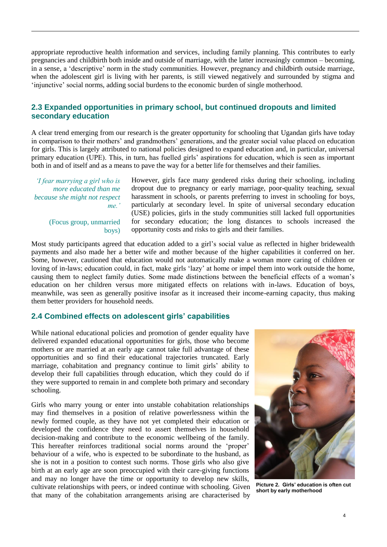appropriate reproductive health information and services, including family planning. This contributes to early pregnancies and childbirth both inside and outside of marriage, with the latter increasingly common – becoming, in a sense, a 'descriptive' norm in the study communities. However, pregnancy and childbirth outside marriage, when the adolescent girl is living with her parents, is still viewed negatively and surrounded by stigma and 'injunctive' social norms, adding social burdens to the economic burden of single motherhood.

### **2.3 Expanded opportunities in primary school, but continued dropouts and limited secondary education**

A clear trend emerging from our research is the greater opportunity for schooling that Ugandan girls have today in comparison to their mothers' and grandmothers' generations, and the greater social value placed on education for girls. This is largely attributed to national policies designed to expand education and, in particular, universal primary education (UPE). This, in turn, has fuelled girls' aspirations for education, which is seen as important both in and of itself and as a means to pave the way for a better life for themselves and their families.

*'I fear marrying a girl who is more educated than me because she might not respect me.'*

> (Focus group, unmarried boys)

However, girls face many gendered risks during their schooling, including dropout due to pregnancy or early marriage, poor-quality teaching, sexual harassment in schools, or parents preferring to invest in schooling for boys, particularly at secondary level. In spite of universal secondary education (USE) policies, girls in the study communities still lacked full opportunities for secondary education; the long distances to schools increased the opportunity costs and risks to girls and their families.

Most study participants agreed that education added to a girl's social value as reflected in higher bridewealth payments and also made her a better wife and mother because of the higher capabilities it conferred on her. Some, however, cautioned that education would not automatically make a woman more caring of children or loving of in-laws; education could, in fact, make girls 'lazy' at home or impel them into work outside the home, causing them to neglect family duties. Some made distinctions between the beneficial effects of a woman's education on her children versus more mitigated effects on relations with in-laws. Education of boys, meanwhile, was seen as generally positive insofar as it increased their income-earning capacity, thus making them better providers for household needs.

### **2.4 Combined effects on adolescent girls' capabilities**

While national educational policies and promotion of gender equality have delivered expanded educational opportunities for girls, those who become mothers or are married at an early age cannot take full advantage of these opportunities and so find their educational trajectories truncated. Early marriage, cohabitation and pregnancy continue to limit girls' ability to develop their full capabilities through education, which they could do if they were supported to remain in and complete both primary and secondary schooling.

Girls who marry young or enter into unstable cohabitation relationships may find themselves in a position of relative powerlessness within the newly formed couple, as they have not yet completed their education or developed the confidence they need to assert themselves in household decision-making and contribute to the economic wellbeing of the family. This hereafter reinforces traditional social norms around the 'proper' behaviour of a wife, who is expected to be subordinate to the husband, as she is not in a position to contest such norms. Those girls who also give birth at an early age are soon preoccupied with their care-giving functions and may no longer have the time or opportunity to develop new skills, cultivate relationships with peers, or indeed continue with schooling. Given that many of the cohabitation arrangements arising are characterised by



**Picture 2. Girls' education is often cut short by early motherhood**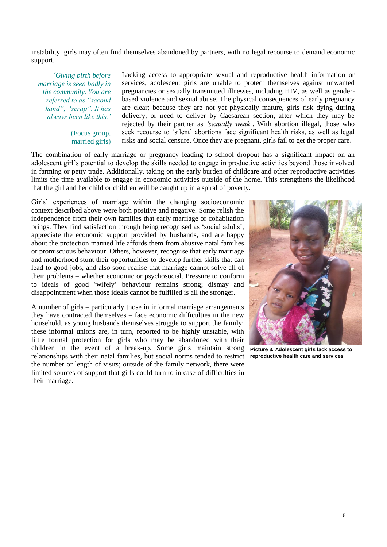instability, girls may often find themselves abandoned by partners, with no legal recourse to demand economic support.

*'Giving birth before marriage is seen badly in the community. You are referred to as "second hand", "scrap". It has always been like this.'*

> (Focus group, married girls)

Lacking access to appropriate sexual and reproductive health information or services, adolescent girls are unable to protect themselves against unwanted pregnancies or sexually transmitted illnesses, including HIV, as well as genderbased violence and sexual abuse. The physical consequences of early pregnancy are clear; because they are not yet physically mature, girls risk dying during delivery, or need to deliver by Caesarean section, after which they may be rejected by their partner as *'sexually weak'*. With abortion illegal, those who seek recourse to 'silent' abortions face significant health risks, as well as legal risks and social censure. Once they are pregnant, girls fail to get the proper care.

The combination of early marriage or pregnancy leading to school dropout has a significant impact on an adolescent girl's potential to develop the skills needed to engage in productive activities beyond those involved in farming or petty trade. Additionally, taking on the early burden of childcare and other reproductive activities limits the time available to engage in economic activities outside of the home. This strengthens the likelihood that the girl and her child or children will be caught up in a spiral of poverty.

Girls' experiences of marriage within the changing socioeconomic context described above were both positive and negative. Some relish the independence from their own families that early marriage or cohabitation brings. They find satisfaction through being recognised as 'social adults', appreciate the economic support provided by husbands, and are happy about the protection married life affords them from abusive natal families or promiscuous behaviour. Others, however, recognise that early marriage and motherhood stunt their opportunities to develop further skills that can lead to good jobs, and also soon realise that marriage cannot solve all of their problems – whether economic or psychosocial. Pressure to conform to ideals of good 'wifely' behaviour remains strong; dismay and disappointment when those ideals cannot be fulfilled is all the stronger.

A number of girls – particularly those in informal marriage arrangements they have contracted themselves – face economic difficulties in the new household, as young husbands themselves struggle to support the family; these informal unions are, in turn, reported to be highly unstable, with little formal protection for girls who may be abandoned with their children in the event of a break-up. Some girls maintain strong **Picture 3. Adolescent girls lack access to**  relationships with their natal families, but social norms tended to restrict the number or length of visits; outside of the family network, there were limited sources of support that girls could turn to in case of difficulties in their marriage.



**reproductive health care and services**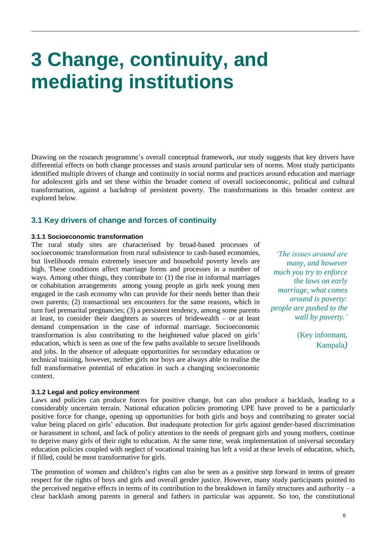## **3 Change, continuity, and mediating institutions**

Drawing on the research programme's overall conceptual framework, our study suggests that key drivers have differential effects on both change processes and stasis around particular sets of norms. Most study participants identified multiple drivers of change and continuity in social norms and practices around education and marriage for adolescent girls and set these within the broader context of overall socioeconomic, political and cultural transformation, against a backdrop of persistent poverty. The transformations in this broader context are explored below.

### **3.1 Key drivers of change and forces of continuity**

#### **3.1.1 Socioeconomic transformation**

The rural study sites are characterised by broad-based processes of socioeconomic transformation from rural subsistence to cash-based economies, but livelihoods remain extremely insecure and household poverty levels are high. These conditions affect marriage forms and processes in a number of ways. Among other things, they contribute to: (1) the rise in informal marriages or cohabitation arrangements among young people as girls seek young men engaged in the cash economy who can provide for their needs better than their own parents; (2) transactional sex encounters for the same reasons, which in turn fuel premarital pregnancies; (3) a persistent tendency, among some parents at least, to consider their daughters as sources of bridewealth – or at least demand compensation in the case of informal marriage. Socioeconomic transformation is also contributing to the heightened value placed on girls' education, which is seen as one of the few paths available to secure livelihoods and jobs. In the absence of adequate opportunities for secondary education or technical training, however, neither girls nor boys are always able to realise the full transformative potential of education in such a changing socioeconomic context.

#### **3.1.2 Legal and policy environment**

Laws and policies can produce forces for positive change, but can also produce a backlash, leading to a considerably uncertain terrain. National education policies promoting UPE have proved to be a particularly positive force for change, opening up opportunities for both girls and boys and contributing to greater social value being placed on girls' education. But inadequate protection for girls against gender-based discrimination or harassment in school, and lack of policy attention to the needs of pregnant girls and young mothers, continue to deprive many girls of their right to education. At the same time, weak implementation of universal secondary education policies coupled with neglect of vocational training has left a void at these levels of education, which, if filled, could be most transformative for girls.

The promotion of women and children's rights can also be seen as a positive step forward in terms of greater respect for the rights of boys and girls and overall gender justice. However, many study participants pointed to the perceived negative effects in terms of its contribution to the breakdown in family structures and authority – a clear backlash among parents in general and fathers in particular was apparent. So too, the constitutional

*'The issues around are many, and however much you try to enforce the laws on early marriage, what comes around is poverty: people are pushed to the wall by poverty.'*

> (Key informant, Kampala*)*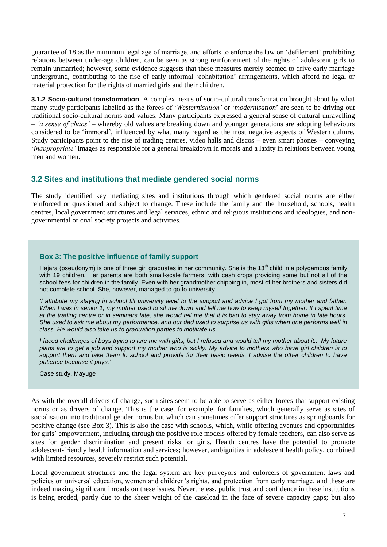guarantee of 18 as the minimum legal age of marriage, and efforts to enforce the law on 'defilement' prohibiting relations between under-age children, can be seen as strong reinforcement of the rights of adolescent girls to remain unmarried; however, some evidence suggests that these measures merely seemed to drive early marriage underground, contributing to the rise of early informal 'cohabitation' arrangements, which afford no legal or material protection for the rights of married girls and their children.

**3.1.2 Socio-cultural transformation**: A complex nexus of socio-cultural transformation brought about by what many study participants labelled as the forces of '*Westernisation'* or '*modernisation*' are seen to be driving out traditional socio-cultural norms and values. Many participants expressed a general sense of cultural unravelling – *'a sense of chaos'* – whereby old values are breaking down and younger generations are adopting behaviours considered to be 'immoral', influenced by what many regard as the most negative aspects of Western culture. Study participants point to the rise of trading centres, video halls and discos – even smart phones – conveying '*inappropriate'* images as responsible for a general breakdown in morals and a laxity in relations between young men and women.

### **3.2 Sites and institutions that mediate gendered social norms**

The study identified key mediating sites and institutions through which gendered social norms are either reinforced or questioned and subject to change. These include the family and the household, schools, health centres, local government structures and legal services, ethnic and religious institutions and ideologies, and nongovernmental or civil society projects and activities.

### **Box 3: The positive influence of family support**

Hajara (pseudonym) is one of three girl graduates in her community. She is the 13<sup>th</sup> child in a polygamous family with 19 children. Her parents are both small-scale farmers, with cash crops providing some but not all of the school fees for children in the family. Even with her grandmother chipping in, most of her brothers and sisters did not complete school. She, however, managed to go to university.

*'I attribute my staying in school till university level to the support and advice I got from my mother and father. When I was in senior 1, my mother used to sit me down and tell me how to keep myself together. If I spent time at the trading centre or in seminars late, she would tell me that it is bad to stay away from home in late hours. She used to ask me about my performance, and our dad used to surprise us with gifts when one performs well in class. He would also take us to graduation parties to motivate us...* 

*I faced challenges of boys trying to lure me with gifts, but I refused and would tell my mother about it... My future plans are to get a job and support my mother who is sickly. My advice to mothers who have girl children is to support them and take them to school and provide for their basic needs. I advise the other children to have patience because it pays.'*

Case study, Mayuge

As with the overall drivers of change, such sites seem to be able to serve as either forces that support existing norms or as drivers of change. This is the case, for example, for families, which generally serve as sites of socialisation into traditional gender norms but which can sometimes offer support structures as springboards for positive change (see Box 3). This is also the case with schools, which, while offering avenues and opportunities for girls' empowerment, including through the positive role models offered by female teachers, can also serve as sites for gender discrimination and present risks for girls. Health centres have the potential to promote adolescent-friendly health information and services; however, ambiguities in adolescent health policy, combined with limited resources, severely restrict such potential.

Local government structures and the legal system are key purveyors and enforcers of government laws and policies on universal education, women and children's rights, and protection from early marriage, and these are indeed making significant inroads on these issues. Nevertheless, public trust and confidence in these institutions is being eroded, partly due to the sheer weight of the caseload in the face of severe capacity gaps; but also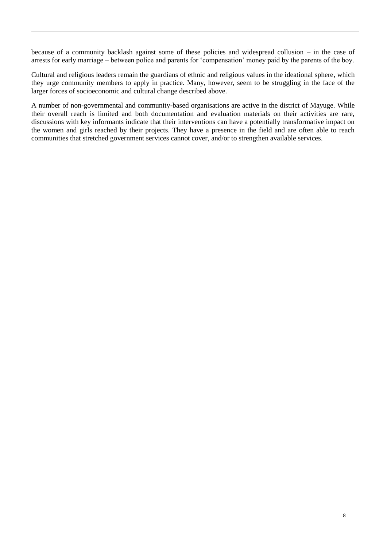because of a community backlash against some of these policies and widespread collusion – in the case of arrests for early marriage – between police and parents for 'compensation' money paid by the parents of the boy.

Cultural and religious leaders remain the guardians of ethnic and religious values in the ideational sphere, which they urge community members to apply in practice. Many, however, seem to be struggling in the face of the larger forces of socioeconomic and cultural change described above.

A number of non-governmental and community-based organisations are active in the district of Mayuge. While their overall reach is limited and both documentation and evaluation materials on their activities are rare, discussions with key informants indicate that their interventions can have a potentially transformative impact on the women and girls reached by their projects. They have a presence in the field and are often able to reach communities that stretched government services cannot cover, and/or to strengthen available services.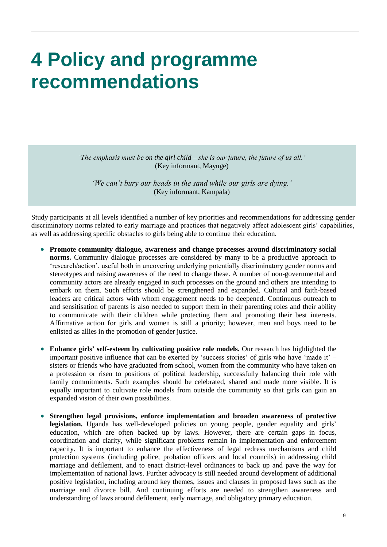### **4 Policy and programme recommendations**

*'The emphasis must be on the girl child – she is our future, the future of us all.'* (Key informant, Mayuge)

*'We can't bury our heads in the sand while our girls are dying.'* (Key informant, Kampala)

Study participants at all levels identified a number of key priorities and recommendations for addressing gender discriminatory norms related to early marriage and practices that negatively affect adolescent girls' capabilities, as well as addressing specific obstacles to girls being able to continue their education.

- **Promote community dialogue, awareness and change processes around discriminatory social norms.** Community dialogue processes are considered by many to be a productive approach to 'research/action', useful both in uncovering underlying potentially discriminatory gender norms and stereotypes and raising awareness of the need to change these. A number of non-governmental and community actors are already engaged in such processes on the ground and others are intending to embark on them. Such efforts should be strengthened and expanded. Cultural and faith-based leaders are critical actors with whom engagement needs to be deepened. Continuous outreach to and sensitisation of parents is also needed to support them in their parenting roles and their ability to communicate with their children while protecting them and promoting their best interests. Affirmative action for girls and women is still a priority; however, men and boys need to be enlisted as allies in the promotion of gender justice.
- **Enhance girls' self-esteem by cultivating positive role models.** Our research has highlighted the important positive influence that can be exerted by 'success stories' of girls who have 'made it' – sisters or friends who have graduated from school, women from the community who have taken on a profession or risen to positions of political leadership, successfully balancing their role with family commitments. Such examples should be celebrated, shared and made more visible. It is equally important to cultivate role models from outside the community so that girls can gain an expanded vision of their own possibilities.
- **Strengthen legal provisions, enforce implementation and broaden awareness of protective**  legislation. Uganda has well-developed policies on young people, gender equality and girls' education, which are often backed up by laws. However, there are certain gaps in focus, coordination and clarity, while significant problems remain in implementation and enforcement capacity. It is important to enhance the effectiveness of legal redress mechanisms and child protection systems (including police, probation officers and local councils) in addressing child marriage and defilement, and to enact district-level ordinances to back up and pave the way for implementation of national laws. Further advocacy is still needed around development of additional positive legislation, including around key themes, issues and clauses in proposed laws such as the marriage and divorce bill. And continuing efforts are needed to strengthen awareness and understanding of laws around defilement, early marriage, and obligatory primary education.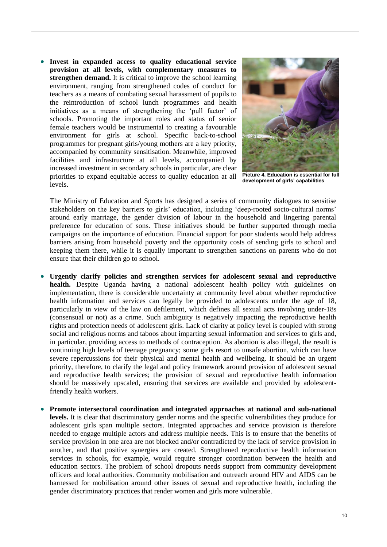**Invest in expanded access to quality educational service provision at all levels, with complementary measures to strengthen demand.** It is critical to improve the school learning environment, ranging from strengthened codes of conduct for teachers as a means of combating sexual harassment of pupils to the reintroduction of school lunch programmes and health initiatives as a means of strengthening the 'pull factor' of schools. Promoting the important roles and status of senior female teachers would be instrumental to creating a favourable environment for girls at school. Specific back-to-school programmes for pregnant girls/young mothers are a key priority, accompanied by community sensitisation. Meanwhile, improved facilities and infrastructure at all levels, accompanied by increased investment in secondary schools in particular, are clear priorities to expand equitable access to quality education at all levels.



**Picture 4. Education is essential for full development of girls' capabilities**

The Ministry of Education and Sports has designed a series of community dialogues to sensitise stakeholders on the key barriers to girls' education, including 'deep-rooted socio-cultural norms' around early marriage, the gender division of labour in the household and lingering parental preference for education of sons. These initiatives should be further supported through media campaigns on the importance of education. Financial support for poor students would help address barriers arising from household poverty and the opportunity costs of sending girls to school and keeping them there, while it is equally important to strengthen sanctions on parents who do not ensure that their children go to school.

- **Urgently clarify policies and strengthen services for adolescent sexual and reproductive health.** Despite Uganda having a national adolescent health policy with guidelines on implementation, there is considerable uncertainty at community level about whether reproductive health information and services can legally be provided to adolescents under the age of 18, particularly in view of the law on defilement, which defines all sexual acts involving under-18s (consensual or not) as a crime. Such ambiguity is negatively impacting the reproductive health rights and protection needs of adolescent girls. Lack of clarity at policy level is coupled with strong social and religious norms and taboos about imparting sexual information and services to girls and, in particular, providing access to methods of contraception. As abortion is also illegal, the result is continuing high levels of teenage pregnancy; some girls resort to unsafe abortion, which can have severe repercussions for their physical and mental health and wellbeing. It should be an urgent priority, therefore, to clarify the legal and policy framework around provision of adolescent sexual and reproductive health services; the provision of sexual and reproductive health information should be massively upscaled, ensuring that services are available and provided by adolescentfriendly health workers.
- **Promote intersectoral coordination and integrated approaches at national and sub-national levels.** It is clear that discriminatory gender norms and the specific vulnerabilities they produce for adolescent girls span multiple sectors. Integrated approaches and service provision is therefore needed to engage multiple actors and address multiple needs. This is to ensure that the benefits of service provision in one area are not blocked and/or contradicted by the lack of service provision in another, and that positive synergies are created. Strengthened reproductive health information services in schools, for example, would require stronger coordination between the health and education sectors. The problem of school dropouts needs support from community development officers and local authorities. Community mobilisation and outreach around HIV and AIDS can be harnessed for mobilisation around other issues of sexual and reproductive health, including the gender discriminatory practices that render women and girls more vulnerable.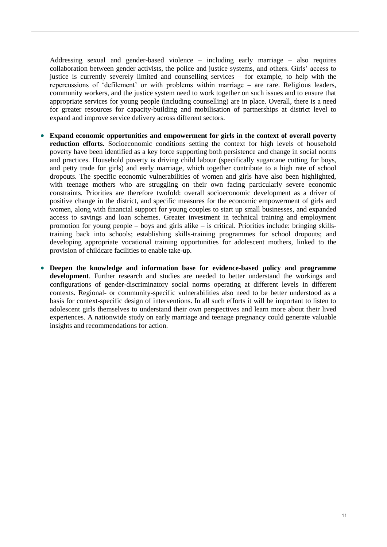Addressing sexual and gender-based violence – including early marriage – also requires collaboration between gender activists, the police and justice systems, and others. Girls' access to justice is currently severely limited and counselling services – for example, to help with the repercussions of 'defilement' or with problems within marriage – are rare. Religious leaders, community workers, and the justice system need to work together on such issues and to ensure that appropriate services for young people (including counselling) are in place. Overall, there is a need for greater resources for capacity-building and mobilisation of partnerships at district level to expand and improve service delivery across different sectors.

- **Expand economic opportunities and empowerment for girls in the context of overall poverty reduction efforts.** Socioeconomic conditions setting the context for high levels of household poverty have been identified as a key force supporting both persistence and change in social norms and practices. Household poverty is driving child labour (specifically sugarcane cutting for boys, and petty trade for girls) and early marriage, which together contribute to a high rate of school dropouts. The specific economic vulnerabilities of women and girls have also been highlighted, with teenage mothers who are struggling on their own facing particularly severe economic constraints. Priorities are therefore twofold: overall socioeconomic development as a driver of positive change in the district, and specific measures for the economic empowerment of girls and women, along with financial support for young couples to start up small businesses, and expanded access to savings and loan schemes. Greater investment in technical training and employment promotion for young people – boys and girls alike – is critical. Priorities include: bringing skillstraining back into schools; establishing skills-training programmes for school dropouts; and developing appropriate vocational training opportunities for adolescent mothers, linked to the provision of childcare facilities to enable take-up.
- **Deepen the knowledge and information base for evidence-based policy and programme development**. Further research and studies are needed to better understand the workings and configurations of gender-discriminatory social norms operating at different levels in different contexts. Regional- or community-specific vulnerabilities also need to be better understood as a basis for context-specific design of interventions. In all such efforts it will be important to listen to adolescent girls themselves to understand their own perspectives and learn more about their lived experiences. A nationwide study on early marriage and teenage pregnancy could generate valuable insights and recommendations for action.